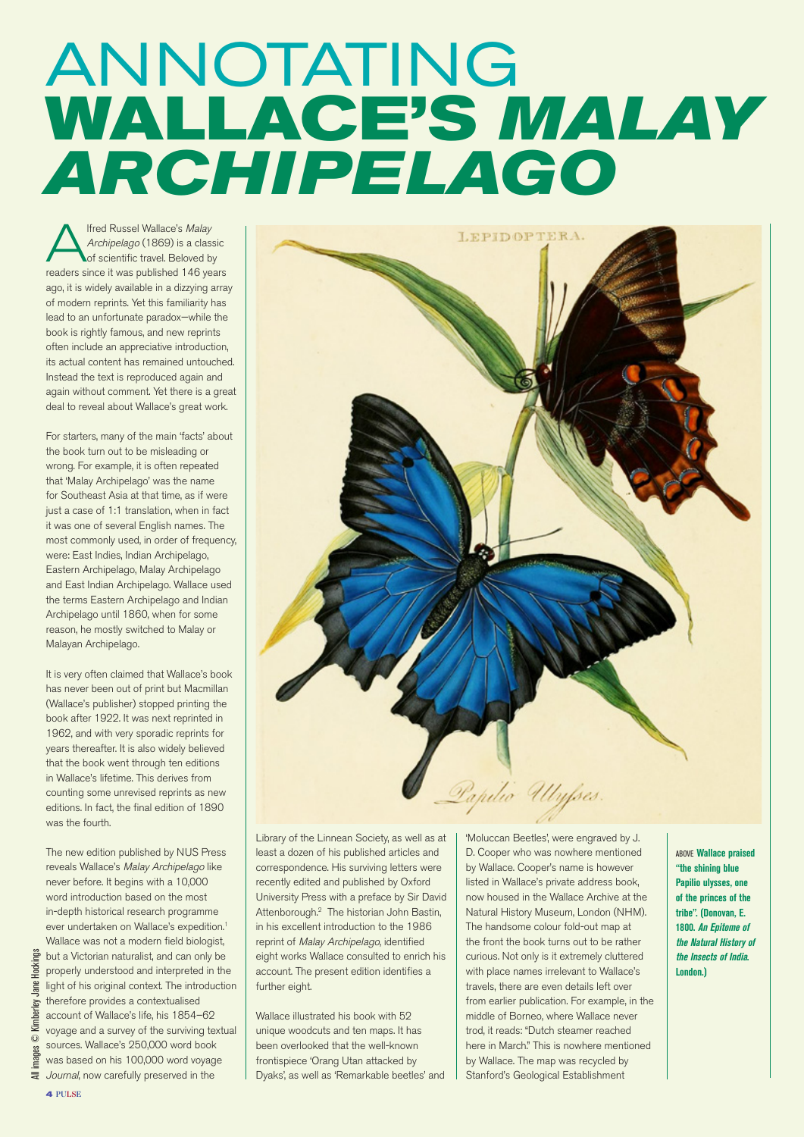## ANNOTATING **WALLACE'S** *MALAY ARCHIPELAGO*

**Alfred Russel Wallace's Malay**<br>Archipelago (1869) is a classi-<br>of scientific travel. Beloved by Archipelago (1869) is a classic readers since it was published 146 years ago, it is widely available in a dizzying array of modern reprints. Yet this familiarity has lead to an unfortunate paradox—while the book is rightly famous, and new reprints often include an appreciative introduction, its actual content has remained untouched. Instead the text is reproduced again and again without comment. Yet there is a great deal to reveal about Wallace's great work.

For starters, many of the main 'facts' about the book turn out to be misleading or wrong. For example, it is often repeated that 'Malay Archipelago' was the name for Southeast Asia at that time, as if were just a case of 1:1 translation, when in fact it was one of several English names. The most commonly used, in order of frequency, were: East Indies, Indian Archipelago, Eastern Archipelago, Malay Archipelago and East Indian Archipelago. Wallace used the terms Eastern Archipelago and Indian Archipelago until 1860, when for some reason, he mostly switched to Malay or Malayan Archipelago.

It is very often claimed that Wallace's book has never been out of print but Macmillan (Wallace's publisher) stopped printing the book after 1922. It was next reprinted in 1962, and with very sporadic reprints for years thereafter. It is also widely believed that the book went through ten editions in Wallace's lifetime. This derives from counting some unrevised reprints as new editions. In fact, the final edition of 1890 was the fourth.

The new edition published by NUS Press reveals Wallace's Malay Archipelago like never before. It begins with a 10,000 word introduction based on the most in-depth historical research programme ever undertaken on Wallace's expedition.<sup>1</sup> Wallace was not a modern field biologist, but a Victorian naturalist, and can only be properly understood and interpreted in the light of his original context. The introduction therefore provides a contextualised account of Wallace's life, his 1854–62 voyage and a survey of the surviving textual sources. Wallace's 250,000 word book was based on his 100,000 word voyage  $\equiv$  Journal, now carefully preserved in the



Library of the Linnean Society, as well as at least a dozen of his published articles and correspondence. His surviving letters were recently edited and published by Oxford University Press with a preface by Sir David Attenborough.2 The historian John Bastin, in his excellent introduction to the 1986 reprint of Malay Archipelago, identified eight works Wallace consulted to enrich his account. The present edition identifies a further eight.

Wallace illustrated his book with 52 unique woodcuts and ten maps. It has been overlooked that the well-known frontispiece 'Orang Utan attacked by Dyaks', as well as 'Remarkable beetles' and 'Moluccan Beetles', were engraved by J. D. Cooper who was nowhere mentioned by Wallace. Cooper's name is however listed in Wallace's private address book, now housed in the Wallace Archive at the Natural History Museum, London (NHM). The handsome colour fold-out map at the front the book turns out to be rather curious. Not only is it extremely cluttered with place names irrelevant to Wallace's travels, there are even details left over from earlier publication. For example, in the middle of Borneo, where Wallace never trod, it reads: "Dutch steamer reached here in March." This is nowhere mentioned by Wallace. The map was recycled by Stanford's Geological Establishment

above **Wallace praised "the shining blue Papilio ulysses, one of the princes of the tribe". (Donovan, E. 1800. An Epitome of the Natural History of the Insects of India. London.)**